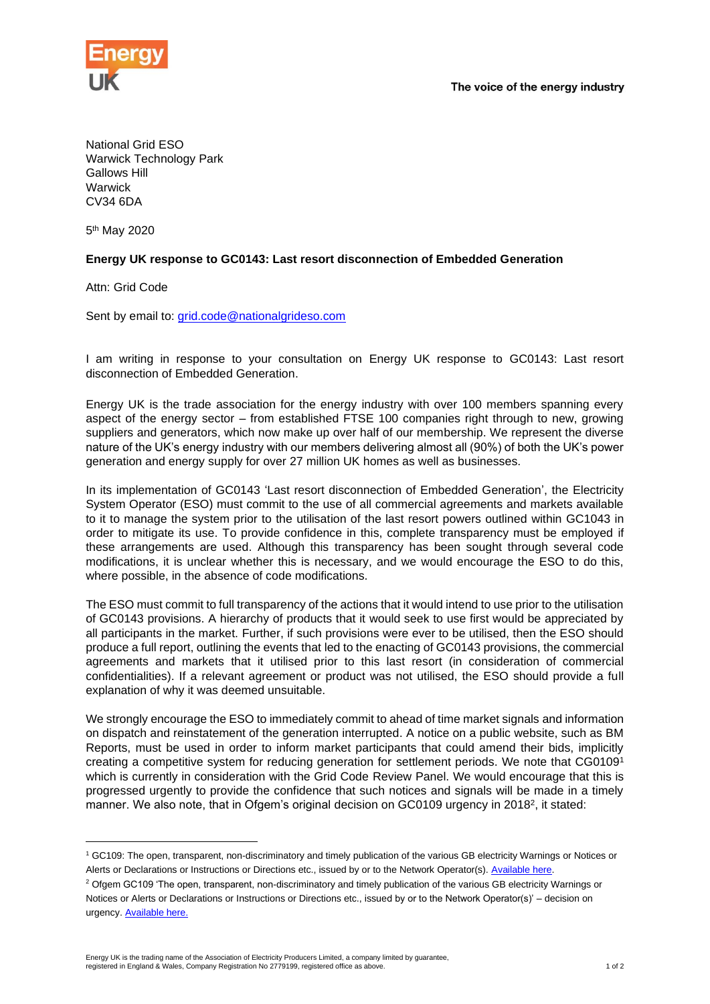

The voice of the energy industry

National Grid ESO Warwick Technology Park Gallows Hill Warwick CV34 6DA

5<sup>th</sup> May 2020

## **Energy UK response to GC0143: Last resort disconnection of Embedded Generation**

Attn: Grid Code

Sent by email to: [grid.code@nationalgrideso.com](mailto:grid.code@nationalgrideso.com)

I am writing in response to your consultation on Energy UK response to GC0143: Last resort disconnection of Embedded Generation.

Energy UK is the trade association for the energy industry with over 100 members spanning every aspect of the energy sector – from established FTSE 100 companies right through to new, growing suppliers and generators, which now make up over half of our membership. We represent the diverse nature of the UK's energy industry with our members delivering almost all (90%) of both the UK's power generation and energy supply for over 27 million UK homes as well as businesses.

In its implementation of GC0143 'Last resort disconnection of Embedded Generation', the Electricity System Operator (ESO) must commit to the use of all commercial agreements and markets available to it to manage the system prior to the utilisation of the last resort powers outlined within GC1043 in order to mitigate its use. To provide confidence in this, complete transparency must be employed if these arrangements are used. Although this transparency has been sought through several code modifications, it is unclear whether this is necessary, and we would encourage the ESO to do this, where possible, in the absence of code modifications.

The ESO must commit to full transparency of the actions that it would intend to use prior to the utilisation of GC0143 provisions. A hierarchy of products that it would seek to use first would be appreciated by all participants in the market. Further, if such provisions were ever to be utilised, then the ESO should produce a full report, outlining the events that led to the enacting of GC0143 provisions, the commercial agreements and markets that it utilised prior to this last resort (in consideration of commercial confidentialities). If a relevant agreement or product was not utilised, the ESO should provide a full explanation of why it was deemed unsuitable.

We strongly encourage the ESO to immediately commit to ahead of time market signals and information on dispatch and reinstatement of the generation interrupted. A notice on a public website, such as BM Reports, must be used in order to inform market participants that could amend their bids, implicitly creating a competitive system for reducing generation for settlement periods. We note that CG0109<sup>1</sup> which is currently in consideration with the Grid Code Review Panel. We would encourage that this is progressed urgently to provide the confidence that such notices and signals will be made in a timely manner. We also note, that in Ofgem's original decision on GC0109 urgency in 2018<sup>2</sup>, it stated:

Energy UK is the trading name of the Association of Electricity Producers Limited, a company limited by guarantee, registered in England & Wales, Company Registration No 2779199, registered office as above. 1 of 2

<sup>1</sup> GC109: The open, transparent, non-discriminatory and timely publication of the various GB electricity Warnings or Notices or Alerts or Declarations or Instructions or Directions etc., issued by or to the Network Operator(s). [Available here.](https://www.nationalgrideso.com/document/108421/download)

<sup>&</sup>lt;sup>2</sup> Ofgem GC109 'The open, transparent, non-discriminatory and timely publication of the various GB electricity Warnings or Notices or Alerts or Declarations or Instructions or Directions etc., issued by or to the Network Operator(s)' – decision on urgency. [Available here.](https://www.ofgem.gov.uk/system/files/docs/2018/08/gc0109_urgeny_decision.pdf)